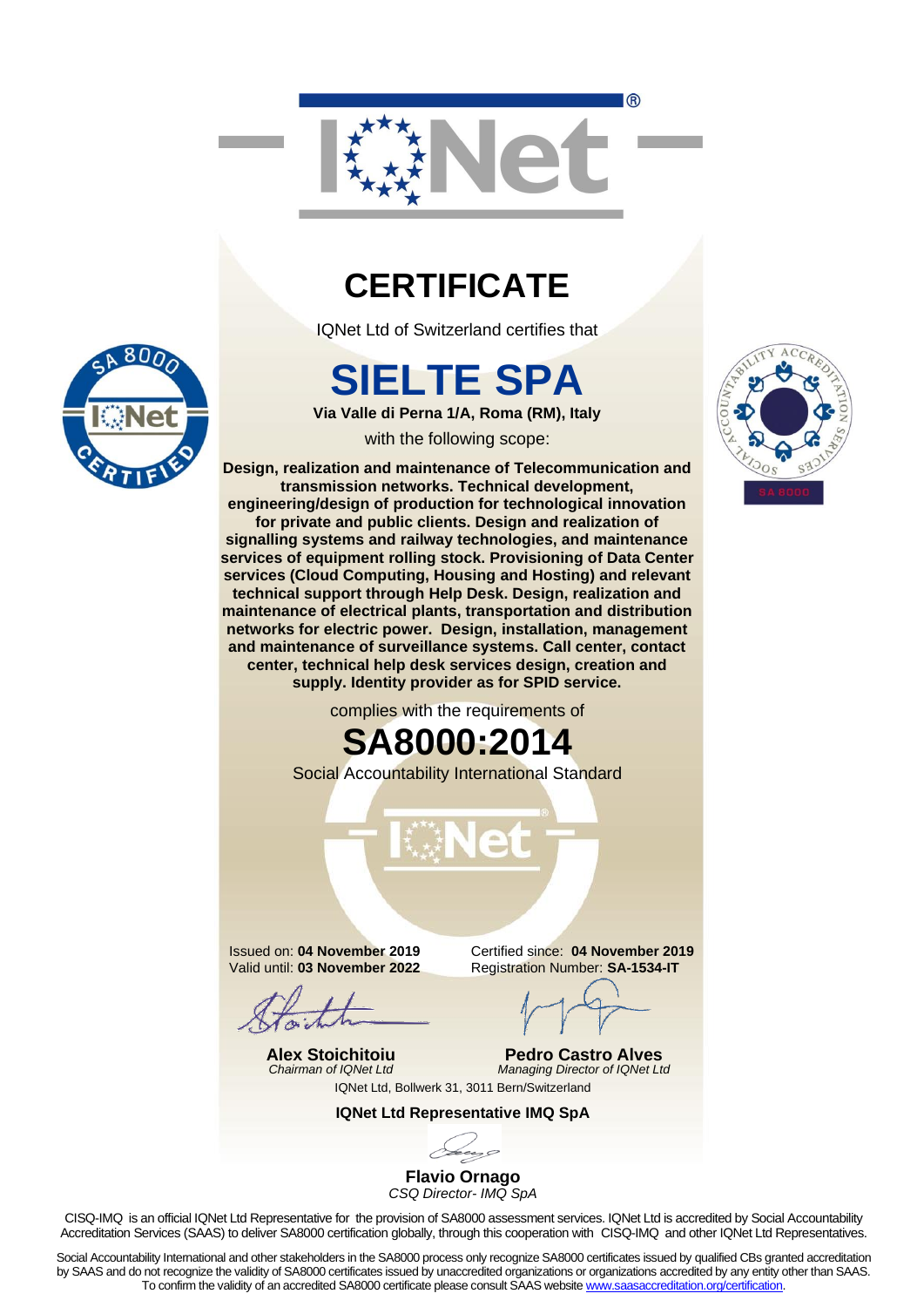

#### **CERTIFICATE**

IQNet Ltd of Switzerland certifies that

# **SIELTE SPA**

**Via Valle di Perna 1/A, Roma (RM), Italy**

with the following scope:

**Design, realization and maintenance of Telecommunication and transmission networks. Technical development, engineering/design of production for technological innovation for private and public clients. Design and realization of signalling systems and railway technologies, and maintenance services of equipment rolling stock. Provisioning of Data Center services (Cloud Computing, Housing and Hosting) and relevant technical support through Help Desk. Design, realization and maintenance of electrical plants, transportation and distribution networks for electric power. Design, installation, management and maintenance of surveillance systems. Call center, contact center, technical help desk services design, creation and supply. Identity provider as for SPID service.**

complies with the requirements of

## **SA8000:2014**



Social Accountability International Standard

Issued on: **04 November 2019** Valid until: **03 November 2022**

**Alex Stoichitoiu** *Chairman of IQNet Ltd* Certified since: **04 November 2019** Registration Number: **SA-1534-IT**

**Pedro Castro Alves** *Managing Director of IQNet Ltd*

IQNet Ltd, Bollwerk 31, 3011 Bern/Switzerland

**IQNet Ltd Representative IMQ SpA**

**Flavio Ornago** *CSQ Director- IMQ SpA*

CISQ-IMQ is an official IQNet Ltd Representative for the provision of SA8000 assessment services. IQNet Ltd is accredited by Social Accountability Accreditation Services (SAAS) to deliver SA8000 certification globally, through this cooperation with CISQ-IMQ and other IQNet Ltd Representatives.

Social Accountability International and other stakeholders in the SA8000 process only recognize SA8000 certificates issued by qualified CBs granted accreditation by SAAS and do not recognize the validity of SA8000 certificates issued by unaccredited organizations or organizations accredited by any entity other than SAAS. To confirm the validity of an accredited SA8000 certificate please consult SAAS website [www.saasaccreditation.org/certification.](http://www.saasaccreditation.org/certification)